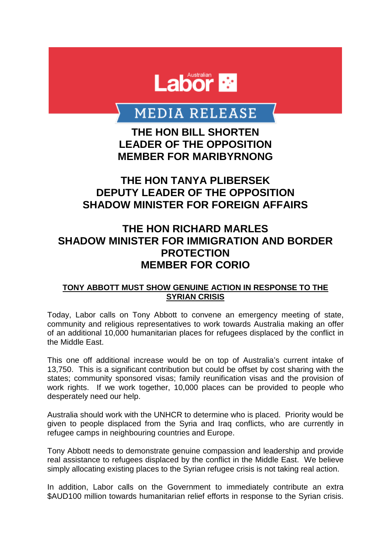

# **MEDIA RELEASE**

**THE HON BILL SHORTEN LEADER OF THE OPPOSITION MEMBER FOR MARIBYRNONG**

## **THE HON TANYA PLIBERSEK DEPUTY LEADER OF THE OPPOSITION SHADOW MINISTER FOR FOREIGN AFFAIRS**

## **THE HON RICHARD MARLES SHADOW MINISTER FOR IMMIGRATION AND BORDER PROTECTION MEMBER FOR CORIO**

#### **TONY ABBOTT MUST SHOW GENUINE ACTION IN RESPONSE TO THE SYRIAN CRISIS**

Today, Labor calls on Tony Abbott to convene an emergency meeting of state, community and religious representatives to work towards Australia making an offer of an additional 10,000 humanitarian places for refugees displaced by the conflict in the Middle East.

This one off additional increase would be on top of Australia's current intake of 13,750. This is a significant contribution but could be offset by cost sharing with the states; community sponsored visas; family reunification visas and the provision of work rights. If we work together, 10,000 places can be provided to people who desperately need our help.

Australia should work with the UNHCR to determine who is placed. Priority would be given to people displaced from the Syria and Iraq conflicts, who are currently in refugee camps in neighbouring countries and Europe.

Tony Abbott needs to demonstrate genuine compassion and leadership and provide real assistance to refugees displaced by the conflict in the Middle East. We believe simply allocating existing places to the Syrian refugee crisis is not taking real action.

In addition, Labor calls on the Government to immediately contribute an extra \$AUD100 million towards humanitarian relief efforts in response to the Syrian crisis.